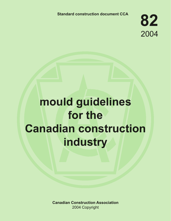**Standard construction document CCA**

**82** 2004

# **mould guidelines for the Canadian construction industry**

**Canadian Construction Association** 2004 Copyright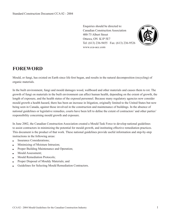Enquiries should be directed to: Canadian Construction Association 400-75 Albert Street Ottawa, ON K1P 5E7 Tel: (613) 236-9455 Fax: (613) 236-9526 www.cca-acc.com



# **FOREWORD**

Mould, or fungi, has existed on Earth since life first began, and results in the natural decomposition (recycling) of organic materials.

In the built environment, fungi and mould damages wood, wallboard and other materials and causes them to rot. The growth of fungi on materials in the built environment can affect human health, depending on the extent of growth, the length of exposure, and the health status of the exposed personnel. Because many regulatory agencies now consider mould growth a health hazard, there has been an increase in litigation, originally limited to the United States but now being seen in Canada, against those involved in the construction and maintenance of buildings. In the absence of national guidelines or legislative remedies, courts have been left to define the extent of contractors' and other parties' responsibility concerning mould growth and exposure.

In June 2002, the Canadian Construction Association created a Mould Task Force to develop national guidelines to assist contractors in minimizing the potential for mould growth, and instituting effective remediation practices. This document is the product of that work. These national guidelines provide useful information and step-by-step instructions in the following areas:

- Insurance Considerations:
- $\bullet$  Minimizing of Moisture Intrusion;
- Proper Building Maintenance and Operation;
- Mould Assessment;
- Mould Remediation Protocols;
- Proper Disposal of Mouldy Materials; and
- **.** Guidelines for Selecting Mould Remediation Contractors.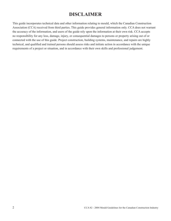# **DISCLAIMER**

This guide incorporates technical data and other information relating to mould, which the Canadian Construction Association (CCA) received from third parties. This guide provides general information only. CCA does not warrant the accuracy of the information, and users of the guide rely upon the information at their own risk. CCA accepts no responsibility for any loss, damage, injury, or consequential damages to persons or property arising out of or connected with the use of this guide. Project construction, building systems, maintenance, and repairs are highly technical, and qualified and trained persons should assess risks and initiate action in accordance with the unique requirements of a project or situation, and in accordance with their own skills and professional judgement.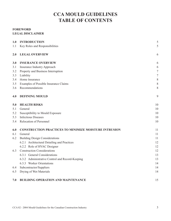# **CCA MOULD GUIDELINES TABLE OF CONTENTS**

### **FOREWORD LEGAL DISCLAIMER**

| 1.0 | <b>INTRODUCTION</b>                                          | 5              |
|-----|--------------------------------------------------------------|----------------|
| 1.1 | Key Roles and Responsibilities                               | 5              |
| 2.0 | <b>LEGAL OVERVIEW</b>                                        | 6              |
| 3.0 | <b>INSURANCE OVERVIEW</b>                                    | 6              |
| 3.1 | <b>Insurance Industry Approach</b>                           | 6              |
| 3.2 | Property and Business Interruption                           | $\sqrt{ }$     |
| 3.3 | Liability                                                    | $\overline{7}$ |
| 3.4 | Home Insurance                                               | 8              |
| 3.5 | Examples of Possible Insurance Claims                        | 8              |
| 3.6 | Recommendations                                              | 8              |
| 4.0 | <b>DEFINING MOULD</b>                                        | 9              |
| 5.0 | <b>HEALTH RISKS</b>                                          | 10             |
| 5.1 | General                                                      | 10             |
| 5.2 | Susceptibility to Mould Exposure                             | 10             |
| 5.3 | <b>Infectious Diseases</b>                                   | 10             |
| 5.4 | Relocation of Personnel                                      | 10             |
| 6.0 | <b>CONSTRUCTION PRACTICES TO MINIMIZE MOISTURE INTRUSION</b> | 11             |
| 6.1 | General                                                      | 11             |
| 6.2 | <b>Building Design Considerations</b>                        | 11             |
|     | 6.2.1 Architectural Detailing and Practices                  | 12             |
|     | 6.2.2 Role of HVAC Designer                                  | 12             |
| 6.3 | <b>Construction Considerations</b>                           | 12             |
|     | 6.3.1 General Considerations                                 | 13             |
|     | 6.3.2 Administrative Control and Record-Keeping              | 13             |
|     | 6.3.3 Worker Orientations                                    | 14             |
| 6.4 | Subcontractor/Suppliers                                      | 14             |
| 6.5 | Drying of Wet Materials                                      | 14             |
| 7.0 | <b>BUILDING OPERATION AND MAINTENANCE</b>                    | 15             |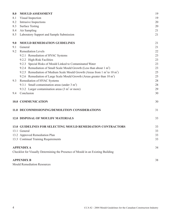| <b>MOULD ASSESSMENT</b>                                                               | 19 |
|---------------------------------------------------------------------------------------|----|
| Visual Inspection                                                                     | 19 |
| Intrusive Inspections                                                                 | 20 |
| <b>Surface Testing</b>                                                                | 20 |
| Air Sampling                                                                          | 21 |
| Laboratory Support and Sample Submission                                              | 21 |
| <b>MOULD REMEDIATION GUIDELINES</b>                                                   | 21 |
| General                                                                               | 21 |
| <b>Remediation Levels</b>                                                             | 22 |
| 9.2.1 Remediation of HVAC Systems                                                     | 23 |
| 9.2.2 High-Risk Facilities                                                            | 23 |
| 9.2.3 Special Risks of Mould Linked to Contaminated Water                             | 23 |
| 9.2.4 Remediation of Small Scale Mould Growth (Less than about 1 m <sup>2</sup> )     | 23 |
| 9.2.5 Remediation of Medium Scale Mould Growth (Areas from 1 $m2$ to 10 $m2$ )        | 25 |
| 9.2.6 Remediation of Large Scale Mould Growth (Areas greater than 10 m <sup>2</sup> ) | 25 |
| Remediation of HVAC Systems                                                           | 28 |
| 9.3.1 Small contamination areas (under $3 \text{ m}^2$ )                              | 28 |
| 9.3.2 Larger contamination areas $(3 \text{ m}^2 \text{ or more})$                    | 29 |
| Conclusion                                                                            | 30 |
| 10.0 COMMUNICATION                                                                    | 30 |
| 11.0 DECOMMISSIONING/DEMOLITION CONSIDERATIONS                                        | 31 |
| <b>12.0 DISPOSAL OF MOULDY MATERIALS</b>                                              | 33 |
| <b>13.0 GUIDELINES FOR SELECTING MOULD REMEDIATION CONTRACTORS</b>                    | 33 |
| 13.1 General                                                                          | 33 |
| 13.2 Approved Remediation Plan                                                        | 33 |
| 13.3 Continual Training Requirements                                                  | 33 |
| <b>APPENDIX A</b>                                                                     | 34 |
| Checklist for Visually Determining the Presence of Mould in an Existing Building      |    |
| <b>APPENDIX B</b>                                                                     | 38 |
|                                                                                       |    |

Mould Remediation Resources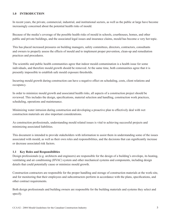#### **1.0 INTRODUCTION**

In recent years, the private, commercial, industrial, and institutional sectors, as well as the public at large have become increasingly concerned about the potential health risks of mould.

Because of the media's coverage of the possible health risks of mould in schools, courthouses, homes, and other public and private buildings, and the associated legal issues and insurance claims, mould has become a very hot topic.

This has placed increased pressures on building managers, safety committees, directors, contractors, consultants and owners to properly assess the effects of mould and to implement proper prevention, clean-up and remediation practices and procedures.

The scientific and public health communities agree that indoor mould contamination is a health issue for some individuals, and therefore mould growth should be removed. At the same time, both communities agree that it is presently impossible to establish safe mould exposure thresholds.

Incurring mould growth during construction can have a negative effect on scheduling, costs, client relations and occupancy.

In order to minimize mould growth and associated health risks, all aspects of a construction project should be reviewed. This includes the design, specifications, material selection and handling, construction work practices, scheduling, operations and maintenance.

Minimizing water intrusion during construction and developing a proactive plan to effectively deal with wet construction materials are also important considerations.

As construction professionals, understanding mould related issues is vital to achieving successful projects and minimizing associated liabilities.

This document is intended to provide stakeholders with information to assist them in understanding some of the issues associated with mould, as well as their own roles and responsibilities, and the decisions that can significantly increase or decrease associated risk factors.

#### **1.1 Key Roles and Responsibilities**

Design professionals (e.g. architects and engineers) are responsible for the design of a building's envelope, its heating, ventilating and air conditioning (HVAC) system and other mechanical systems and components, including design details that could potentially cause or minimize mould growth.

Construction contractors are responsible for the proper handling and storage of construction materials at the work-site, and for monitoring that their employees and subcontractors perform in accordance with the plans, specifications, and other contract requirements.

Both design professionals and building owners are responsible for the building materials and systems they select and specify.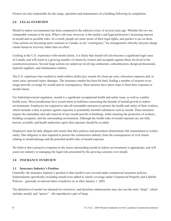Owners are also responsible for the usage, operation and maintenance of a building following its completion.

#### **2.0 LEGAL OVERVIEW**

Mould in indoor environments has been compared to the asbestos crises of several years ago. Whether the two are comparable remains to be seen. What is obvious, however, is the media's and legal profession's increasing interest in mould and its possible risks. As a result, people are more aware of their legal rights, and quicker to act on them. Class actions are becoming more common in Canada, as are "contingency" fee arrangements whereby lawyers charge clients based on recovery rather than on effort.

Looking at the U.S. experience with mould claims, it is likely that mould will also become a significant legal issue in Canada, and will result in a growing number of claims by owners and occupants against those involved in the construction process. Several large actions are underway involving contractors, subcontractors, design professionals, material suppliers, and maintenance entities.

The U.S. experience has resulted in multi-million dollar jury awards for clean-up costs, relocation expenses and, in some cases, personal injury damages. The insurance market has been hit hard, leading a number of insurers to no longer provide coverage for mould and its consequences. Most insurers have taken steps to limit their exposure to mould claims.

For federal/provincial regulators, mould is a significant occupational health and safety issue, as well as a public health issue. Most jurisdictions have issued alerts or bulletins concerning the hazards of mould growth in indoor environments. Employers are required to take all reasonable measures to protect the health and safety of their workers, which includes a duty to protect against exposure to potentially harmful substances such as mould. These measures require the immediate and safe removal of any mould growth in buildings, while ensuring the protection of workers, building occupants, and the surrounding environment. Although the health risks of mould exposure are not fully known, scientific and health authorities agree that exposure should be avoided.

Employers must be duly diligent and ensure that their policies and procedures demonstrate full commitment to worker safety. Due diligence is also required to protect the construction industry from the consequences of civil claims relating to mould damage and the potential health risks of mould exposure.

We believe that a proactive response to the issues surrounding mould in indoor environments is appropriate, and will assist our industry in managing the legal risks presented by the growing concerns over mould.

#### **3.0 INSURANCE OVERVIEW**

#### **3.1 Insurance Industry's Position**

Generally, the insurance industry's position is that mould is not covered under commercial insurance policies. Endorsements specifically excluding mould were added to clarify coverage under Commercial Property and Liability Policies – generally at renewal dates of policies on or after January 1, 2003.

The definition of mould was deemed too restrictive, and therefore endorsements may also use the term "fungi", which includes mould, and "spores" – the reproductive part of fungi.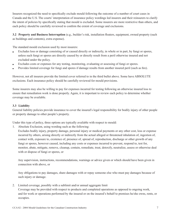Insurers recognized the need to specifically exclude mould following the outcome of a number of court cases in Canada and the U.S. The courts' interpretation of insurance policy wordings led insurers and their reinsurers to clarify the intent of policies by specifically stating that mould is excluded. Some insurers are more restrictive than others, and each policy should be carefully reviewed to confirm the extent of coverage and exclusions.

**3.2 Property and Business Interruption** (e.g., builder's risk, installation floaters, equipment, owned property (such as buildings and contents), extra expense).

The standard mould exclusion used by most insurers:

- Excludes loss or damage consisting of or caused directly or indirectly, in whole or in part, by fungi or spores, unless such fungi or spores are directly caused by or directly result from a peril otherwise insured and not excluded under the policy.
- <sup>l</sup> Excludes costs or expenses for any testing, monitoring, evaluating or assessing of fungi or spores.
- Provides limited coverage for fungi and spores if damage results from another insured peril (such as fire).

However, not all insurers provide the limited cover referred to in the third bullet above. Some have ABSOLUTE exclusions. Each insurance policy should be carefully reviewed for mould provisions.

Some insurers may also be willing to pay for expenses incurred for testing following an otherwise insured loss to ensure that remediation work is done properly. Again, it is important to review each policy to determine whether coverage may be available.

### **3.3 Liability**

General liability policies provide insurance to cover the insured's legal responsibility for bodily injury of other people or property damage to other people's property.

Under this type of policy, three options are typically available with respect to mould:

1. Absolute Exclusion, using wording such as the following:

Excludes bodily injury, property damage, personal injury or medical payments or any other cost, loss or expense incurred by others, arising directly or indirectly from the actual alleged or threatened inhalation of, ingestion of, contact with, exposure to, existence of, presence of, spread of, reproduction, discharge or other growth of any fungi or spores, however caused, including any costs or expenses incurred to prevent, respond to, test for, monitor, abate, mitigate, remove, cleanup, contain, remediate, treat, detoxify, neutralize, assess or otherwise deal with or dispose of fungi or spores, or

Any supervision, instructions, recommendations, warnings or advice given or which should have been given in connection with above, or

Any obligations to pay damages, share damages with or repay someone else who must pay damages because of such injury or damage.

2. Limited coverage, possibly with a sublimit and/or annual aggregate limit Coverage may be provided with respect to products and completed operations as opposed to ongoing work, and for work or operations performed by the insured or on the insured's behalf to premises he/she owns, rents, or occupies.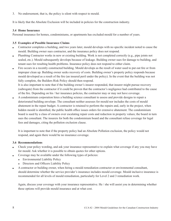3. No endorsement, that is, the policy is silent with respect to mould.

It is likely that the Absolute Exclusion will be included in policies for the construction industry.

#### **3.4 Home Insurance**

Personal insurance for homes, condominiums, or apartments has excluded mould for a number of years.

#### **3.5 Examples of Possible Insurance Claims**

- Contractor completes a building, and two years later, mould develops with no specific incident noted to cause the mould. Building owner sues contractor, and the insurance policy does not respond.
- Plumbing Contractor works in new or existing building. Work is not completed correctly (e.g., pipe joints not sealed, etc.). Mould subsequently develops because of leakage. Building owner sues for damage to building, and tenant sues for resulting health problems. Insurance policy does not respond to either claim.
- let Fire occurs in a recently constructed building. Mould develops as the result of water used to put out fire or from improper clean up. Building owner seeks recovery of costs. Building owner's property policy responds because mould developed as a result of the fire (an insured peril under the policy). In the event that the building was not fully complete, the Builders Risk Policy should then respond.

It is also important to note that if the building owner's insurer responded, that insurer might pursue recovery (subrogate) from the contractor if it could be proven that the contractor's negligence had contributed to the cause of the fire. Depending on his / her insurance policies, the contractor may or may not have coverage.

 $\bullet$  A condominium corporation hires a building science consultant to assess and provide designs to repair a deteriorated building envelope. The consultant neither assesses for mould nor includes the costs of mould abatement in the repair budget. A contractor is retained to perform the repairs and, early in the project, when hidden mould is identified, the public health office issues orders for extensive abatement. The condominium board is sued by a class of owners over escalating repair costs and reduction in property values; the board in turn sues the consultant. The insurers for both the condominium board and the consultant refuse coverage for legal fees and damages, citing the pollution exclusion clause.

It is important to note that if the property policy had an Absolute Pollution exclusion, the policy would not respond, and again there would be no insurance coverage.

#### **3.6 Recommendations**

- Check your policy wording, and ask your insurance representative to explain what coverage if any you may have for mould. Ask whether it is possible to obtain quotes for other options.
- Coverage may be available under the following types of policies:
	- $\leftarrow$  Environmental Liability Policy
	- $\rightarrow$  Directors and Officers Liability Policy
- <sup>l</sup> A contractor or building owner, when hiring a mould remediation contractor or environmental consultant, should determine whether the service provider's insurance includes mould coverage. Mould inclusive insurance is recommended for all levels of mould remediation, particularly for Level 2 and 3 remediation work.

Again, discuss your coverage with your insurance representative. He / she will assist you in determining whether these options will provide mould insurance and at what cost.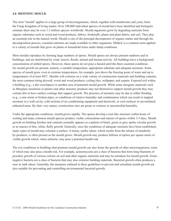#### **4.0 DEFINING MOULD**

The term "mould" applies to a large group of microorganisms, which, together with mushrooms and yeast, form the Fungi Kingdom of living matter. Over 100,000 individual species of mould have been identified and biologists estimate there may be over 1.5 million species worldwide. Mould organisms grow by degrading nutrients from organic substrates such as wood and wood products, fabrics, foodstuffs, plants and plant debris, and soil. They play an essential role in the natural world. Mould is one of the principal decomposers of organic matter and through the decomposition process, essential nutrients are made available to other organisms. Mildew is a common term applied to a variety of moulds that grow on plants or household items under damp conditions.

Most moulds reproduce by forming large numbers of spores. Mould spores are always present outdoors and in buildings, and are distributed by wind, insects, floods, animal and human activity. All buildings have a background concentration of settled spores. However, these spores do not pose a hazard until the three essential conditions for mould growth are present, namely, a suitable temperature, appropriate substrate and adequate moisture. Some species of mould grow even in extreme temperatures, for example, just above the freezing point of water and up to temperatures of at least 40°C. Moulds will colonize on a wide variety of construction materials and building contents, the most common being drywall, wood and wood products, ceiling tiles, wallpaper, and carpets. Exposed soil within a building (e.g., a dirt crawlspace) is another area of potential mould growth. While some inorganic materials such as fibreglass insulation or plaster and other masonry products may not themselves support mould growth they may contain dirt or have surface coatings that support growth. The presence of moisture may be due to either flooding (e.g., a rain storm or broken pipe), or conditions of relative humidity and condensation which can result in trapped moisture in a wall cavity, cold sections of air conditioning equipment and ductwork, or cool surfaces in unventilated, unheated areas. By their very nature, construction sites are prone to wetness or uncontrolled humidity.

Under the appropriate conditions, mould grows rapidly. The spores develop a root-like structure within hours of wetting and many common mould species produce visible colonization and masses of spores within 3-5 days. Mould growth on building finishes and contents normally appears as a pattern of black, green or grey spotty circular growth or as masses of fine, white, fluffy growth. Generally, once the conditions of adequate moisture have been established, many types of mould may colonize a surface. A musty, earthy odour, which results from the release of metabolic by-products, is often present as the mould grows. Mould growth may produce billions of spores per square metre of visible growth which, when airborne, may pose a potential health risk.

The wet conditions in buildings that promote mould growth can also foster the growth of other microorganisms, some of which may also pose a health risk. For example, actinomycetes are a class of bacteria that form long filaments of powdery growth of various colours on soil and other organic materials and may be mistaken for mould growth. Gramnegative bacteria are a class of bacteria that may also colonize building materials. Bacterial growth often produces a sour or rank odour. Generally, the measures outlined in these guidelines to prevent and remediate mould growth are also suitable for preventing and controlling environmental bacterial growth.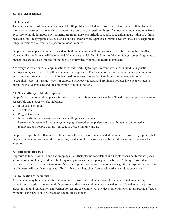#### **5.0 HEALTH RISKS**

#### **5.1 General**

There are a number of documented cases of health problems related to exposure to indoor fungi. Both high-level, short-term exposures and lower-level, long-term exposures can result in illness. The most common symptoms from exposure to mould in indoor environments are runny nose, eye irritation, cough, congestion, aggravation of asthma, headache, flu-like symptoms, fatigue, and skin rash. People with suppressed immune systems may be susceptible to fungal infections as a result of exposure to indoor moulds.

People who are exposed to mould growth on building materials will not necessarily exhibit adverse health effects. However, the mould must still be removed. Humans are at risk from indoor mould when fungal spores, fragments or metabolites are released into the air and inhaled or physically contacted (dermal exposure).

Not everyone experiences allergic reaction; the susceptibility to exposure varies with the individual's genetic predisposition, age, state of health, and concurrent exposures. For these reasons, and because the measurement of exposure is not standardized and biological markers of exposure to fungi are largely unknown, it is not possible to establish "safe" or "unsafe" levels of exposure. However, federal and provincial policies have been written to minimize mould exposure and the elimination of mould indoors.

#### **5.2 Susceptibility to Mould Exposure**

People's reaction to mould exposure is quite varied, and although anyone can be affected, some people may be more susceptible and at greater risk, including:

- Infants and children
- $\bullet$  The elderly
- $\bullet$  Pregnant women
- Individuals with respiratory conditions or allergies and asthma
- <sup>l</sup> Persons with weakened immune systems (e.g., chemotherapy patients, organ or bone marrow transplant recipients, and people with HIV infections or autoimmune diseases).

People with specific health concerns should consult their doctor if concerned about mould exposure. Symptoms that may appear to stem from mould exposure may be due to other causes such as bacterial or viral infections or other allergies.

#### **5.3 Infectious Diseases**

Exposure to fungi from bird and bat droppings (i.e., Histoplasma capsulatum and Cryptococcus neoformans) poses a risk of infection to any worker or building occupant when the droppings are disturbed. Although most infected persons may only experience temporary flu-like symptoms, some may develop more significant respiratory infections or blindness. All significant deposits of bird or bat droppings should be considered a hazardous substance.

#### **5.4 Relocation of Personnel**

Anyone who may be severely affected by mould exposure should be removed from the affected area during remediation. People diagnosed with fungal-related diseases should not be returned to the affected and/or adjacent areas until mould remediation and verification testing are completed. The decision to remove / return people affected by mould exposure should be based on a medical assessment.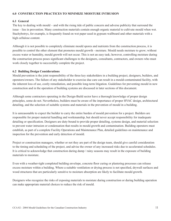#### **6.0 CONSTRUCTION PRACTICES TO MINIMIZE MOISTURE INTRUSION**

#### **6.1 General**

The key to dealing with mould – and with the rising tide of public concern and adverse publicity that surround the issue – lies in prevention. Many construction materials contain enough organic material to cultivate mould when wet. Stachybotrys, for example, is frequently found on wet paper used in gypsum wallboard and other materials with a high cellulose content.

Although it is not possible to completely eliminate mould spores and nutrients from the construction process, it is possible to control the other element that promotes mould growth - moisture. Mould needs moisture to grow; without excess water or humidity, mould growth will not occur. This is not an easy task; however, controlling moisture during the construction process poses significant challenges to the designers, consultants, contractors, and owners who must work closely together to successfully complete the project.

#### **6.2 Building Design Considerations**

Mould prevention is the joint responsibility of the three key stakeholders in a building project, designers, builders, and operators/owners. The failure of any stakeholder to exercise due care can result in a mould-contaminated facility, with the inherent loss of use, costly remediation, and possible long-term litigation. Guidelines for preventing mould in new construction and in the operation of building systems are discussed in later sections of this document.

Although some contractors operating in the Design-Build sector have a thorough knowledge of proper design principles, some do not. Nevertheless, builders must be aware of the importance of proper HVAC design, architectural detailing, and the selection of suitable systems and materials in the prevention of mould in a building.

It is unreasonable to expect the builder to carry the entire burden of mould prevention for a project. Builders are responsible for proper material handling and workmanship, but should never accept responsibility for inadequate detailing or specification. Designers are duty-bound to provide proper detailing, systems design, and material selection to prevent water intrusion or condensation that results in mould growth and contamination. Building operators must establish, as part of a complete Facility Operations and Maintenance Plan, detailed guidelines on maintenance and inspection for the prevention and early detection of mould.

Project or construction managers, whether or not they are part of the design team, should give careful consideration to the timing and scheduling of the project, and advise the owner of any increased risks due to accelerated schedules. It is critical to acknowledge that construction during damp / rainy seasons may result in the exposure of building materials to moisture.

Even with a weather-tight completed building envelope, concrete floor curing or plastering processes can release excess moisture within a building. Where a suitable ventilation or drying process is not specified, drywall surfaces and wood structures that are particularly sensitive to moisture absorption are likely to facilitate mould growth.

Designers who recognize the risks of exposing materials to moisture during construction or during building operation can make appropriate material choices to reduce the risk of mould.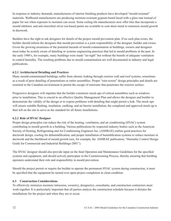In response to industry demands, manufacturers of interior finishing products have developed "mould resistant" materials. Wallboard manufacturers are producing moisture-resistant gypsum board faced with a glass mat instead of paper for use when exposure to moisture can occur. Some ceiling tile manufacturers now offer tiles that incorporate a mould inhibitor, and anti-microbial silver ion-based paints are available to coat sheet metal to minimize mould growth in ductwork.

Builders have the right to ask designers for details of the project mould prevention plan. If no such plan exists, the builder should inform the designers that mould prevention is a joint responsibility of the designer, builder and owner. Given the growing awareness of the potential hazards of mould contamination in buildings, owners and designers must today be acutely aware of detailing or systems engineering practices that led to mould problems in the past. In the early 1980's, for example, many buildings were made "air-tight" but without the benefi t of adequate ventilation to control humidity. The resulting problems due to mould contamination are well documented in industry and legal publications.

# **6.2.1 Architectural Detailing and Practices**

Many mould-contaminated buildings suffer from chronic leaking through exterior wall and roof systems, sometimes as a result of poor detailing of penetrations or entire assemblies. Proper "rain-screen" design principles and details are essential in the Canadian environment to permit the escape of rainwater that penetrates the exterior surface.

Progressive designers will stipulate that the builder constructs mock-ups of critical assemblies such as windows prior to installation. This is crucial to an effective Quality Management Plan and allows the designer and builder to demonstrate the validity of the design or to expose problems with detailing that might permit a leak. The mock-ups will ensure suitable flashing, insulation, caulking, and air barrier installation; the completed and approved mock-up is then left on the site to serve as the standard for all future installations.

# **6.2.2 Role of HVAC Designer**

Proper design principles can reduce the risk of the heating, ventilation, and air conditioning (HVAC) system contributing to mould growth in a building. Various publications by respected industry bodies such as the American Society of Heating, Refrigerating and Air Conditioning Engineers Inc. (ASHRAE) outline good practices for ductwork design, cooling for dehumidification, and proper installation of humidification systems to reduce moisture in ductwork and the likelihood of mould growth (see, for example, the ASHRAE publication, "Humidity Control Design Guide for Commercial and Industrial Buildings-2001").

The HVAC designer should also provide input on the final Operation and Maintenance Guidelines for the specified systems and equipment, and should actively participate in the Commissioning Process, thereby ensuring that building operators understand their role and responsibility in mould prevention.

Should the project permit or require the builder to operate the permanent HVAC system during construction, it must be specified that the equipment be turned over upon project completion in clean condition.

# **6.3 Construction Considerations**

To effectively minimize moisture intrusions, owner(s), designer(s), consultants, and construction contractors must work together. It is particularly important that all parties analyze the construction schedule because it dictates the installations for the project and when they are to occur.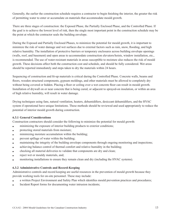Generally, the earlier the construction schedule requires a contractor to begin finishing the interior, the greater the risk of permitting water to enter or accumulate on materials that accommodate mould growth.

There are three stages of construction: the Exposed Phase, the Partially Enclosed Phase, and the Controlled Phase. If the goal is to achieve the lowest level of risk, then the single most important point in the construction schedule may be the point at which the contractor seals the building envelope.

During the Exposed and Partially Enclosed Phases, to minimize the potential for mould growth, it is important to minimize the risk of water damage and wet surfaces due to external factors such as rain, snow, flooding, and high relative humidity. The installation of protective barriers or temporary enclosures across building envelope openings (walls, roof, and basement) and open areas to accommodate construction elevators/hoists, window installation, etc., is recommended. The use of water-resistant materials in areas susceptible to moisture also reduces the risk of mould growth. These decisions affect both the construction cost and schedule, and should be fully considered. Wet areas should be reported immediately and steps taken to dry the materials within 24 hours.

Sequencing of construction and fit-up materials is critical during the Controlled Phase. Concrete walls, beams and floors, wooden structural components, gypsum moldings, and other materials must be allowed to completely dry without being covered or hidden. Placing a floor or ceiling over a wet concrete floor can result in mould growth. Installation of drywall on or near concrete that is being cured, or adjacent to sprayed-on insulation, or within an area of high relative humidity, will result in water damage.

Drying techniques using fans, natural ventilation, heaters, dehumidifiers, desiccant dehumidifiers, and the HVAC system if operational have unique limitations. These methods should be reviewed and used appropriately to reduce the potential of interior mould growth during construction.

#### **6.3.1 General Considerations**

Construction contractors should consider the following to minimize the potential for mould growth:

- $\bullet$  minimizing the exposure of interior building products to exterior conditions;
- protecting stored materials from moisture;
- minimizing moisture accumulation within the building;
- prevent spillage of water within the building;
- maintaining the integrity of the building envelope components through ongoing monitoring and inspections;
- <sup>l</sup> achieving balance control of thermal comfort and relative humidity in the building;
- checking all material deliveries to validate that components are dry and clean;
- reject wet or mouldy materials, and;
- monitoring installations to ensure they remain clean and dry (including the HVAC systems).

#### **6.3.2 Administrative Controls and Record-Keeping**

Administrative controls and record keeping are useful resources in the prevention of mould growth because they provide working tools for on-site personnel. These may include:

- a written Project Environment and Safety Plan which identifies mould prevention practices and procedures;
- Incident Report forms for documenting water intrusion incidents;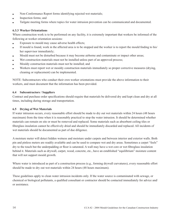- Non-Conformance Report forms identifying rejected wet materials;
- Inspection forms; and
- <sup>l</sup> Tailgate meeting forms where topics for water intrusion prevention can be communicated and documented.

#### **6.3.3 Worker Orientations**

Where construction work is to be performed on any facility, it is extremely important that workers be informed of the following at worker orientation sessions:

- Exposure to mould may cause adverse health effects;
- If mould is found, work in the affected area is to be stopped and the worker is to report the mould finding to his/ her supervisor immediately;
- <sup>l</sup> Mould must not be disturbed because it may become airborne and contaminate or impact other areas;
- Wet construction materials must not be installed unless part of an approved process;
- Mouldy construction materials must not be installed; and
- <sup>l</sup> Workers must report wet or mouldy construction materials immediately so proper corrective measures (drying, cleaning or replacement) can be implemented.

NOTE: Subcontractors who conduct their own worker orientations must provide the above information to their workers, and must document that the information has been provided.

#### **6.4 Subcontractors / Suppliers**

Contract and purchase order specifications should require that materials be delivered dry and kept clean and dry at all times, including during storage and transportation.

#### **6.5 Drying of Wet Materials**

If water intrusion occurs, every reasonable effort should be made to dry out wet materials within 24 hours (48 hours maximum) from the time when it is reasonably practical to stop the water intrusion. It should be determined whether materials can remain on site or must be removed and replaced. Some materials such as absorbent ceiling tiles or fiberglass insulation cannot be effectively dried and should be immediately discarded and replaced. All incidents of wet materials should be documented as part of due diligence.

A moisture meter will detect hidden wetness and moisture under carpets and between interior and exterior walls. Both pin and pinless meters are readily available and can be used to compare wet and dry areas. Sometimes a carpet "feels" dry to the touch but the underpadding or floor is saturated. A wall may have a wet core or wet fibreglass insulation behind it. Materials such as drywall, carpet, wood, concrete, etc., have an established "equilibrium" moisture content that will not support mould growth.

Where water is introduced as part of a construction process (e.g., forming drywall curvatures), every reasonable effort should be made to dry out wet materials within 24 hours (48 hours maximum).

These guidelines apply to clean water intrusion incidents only. If the water source is contaminated with sewage, or chemical or biological pollutants, a qualified consultant or contractor should be contacted immediately for advice and/ or assistance.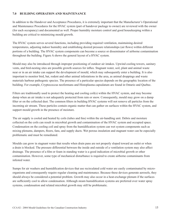#### **7.0 BUILDING OPERATION AND MAINTENANCE**

In addition to the Handover and Acceptance Procedures, it is extremely important that the Manufacturer's Operational and Maintenance Procedures for the HVAC system (part of handover package to owner) are reviewed with the owner (for each occupancy) and documented as well. Proper humidity moisture control and good housekeeping within a building are critical to minimizing mould growth.

The HVAC system serves several functions, including providing required ventilation, maintaining desired temperatures, adjusting indoor humidity and establishing desired pressure relationships (air flows) within different portions of a building. The HVAC system components can become a source or disseminator of airborne contamination throughout the building. Figure A shows the general layout of a HVAC system.

Mould may also be introduced through improper positioning of outdoor air intakes. Upwind cooling towers, sanitary vents, and bird-nesting sites are possible growth sources for influx. Stagnant water, soil, plant and animal waste near or in an air intake can support the development of mould, which may subsequently enter a building. It is also important to monitor bird, bat, rodent and other animal infestations in the area, as animal droppings and waste materials harbour pathogenic species. The presence of a particular species depends on the geographic location of the building. For example, Cryptococcus neoformans and Histoplasma capsulatum are found in Ontario and Quebec.

Filters are traditionally used to protect the heating and cooling coil(s) within the HVAC system, and may become damp when an air intake is not adequately protected from rain or snow. Consequently, mould may grow on a damp filter or on the collected dust. The common filters in building HVAC systems will not remove all particles from the incoming air stream. These particles contain organic matter that can gather on surfaces within the HVAC system, and support mould growth in the presence of moisture.

The air supply is cooled and heated by coils (tubes and fins) within the air-handling unit. Debris and moisture collected on the coils can result in microbial growth and contamination of the HVAC system and occupied space. Condensation on the cooling coil and spray from the humidification system can wet system components such as mixing plenums, dampers, floors, fans, and supply ducts. Wet porous insulation and stagnant water can be especially problematic and must be remediated.

Moulds can grow in stagnant water that results when drain pans are not properly sloped toward an outlet or when a drain is blocked. The pressure differential between the inside and outside of a ventilation system may also affect drainage. The presence of a film or foam in standing water is a good indication of microbial growth or other contamination. However, some type of mechanical disturbance is required to create airborne contaminants from infested water.

Sumps for air washers and humidification devices that use recirculated cold water are easily contaminated by microorganisms and consequently require regular cleaning and maintenance. Because these devices generate aerosols, they should always be considered a potential problem. Growth may also occur in a heat-exchange plenum if the surfaces are sufficiently cool to allow condensation. Although steam humidification systems are preferred over water spray systems, condensation and related microbial growth may still be problematic.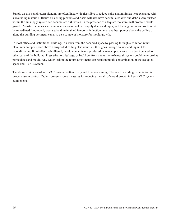Supply air ducts and return plenums are often lined with glass fibre to reduce noise and minimize heat exchange with surrounding materials. Return air ceiling plenums and risers will also have accumulated dust and debris. Any surface within the air supply system can accumulate dirt, which, in the presence of adequate moisture, will promote mould growth. Moisture sources such as condensation on cold air supply ducts and pipes, and leaking drains and roofs must be remediated. Improperly operated and maintained fan-coils, induction units, and heat pumps above the ceiling or along the building perimeter can also be a source of moisture for mould growth.

In most office and institutional buildings, air exits from the occupied space by passing through a common return plenum or an open space above a suspended ceiling. The return air then goes through an air-handling unit for reconditioning. If not effectively filtered, mould contaminants produced in an occupied space may be circulated to other parts of the building. Pressurization, leakage, or backflow from a return or exhaust air system could re-aerosolize particulates and mould. Any water leak in the return air systems can result in mould contamination of the occupied space and HVAC system.

The decontamination of an HVAC system is often costly and time consuming. The key to avoiding remediation is proper system control. Table 1 presents some measures for reducing the risk of mould growth in key HVAC system components.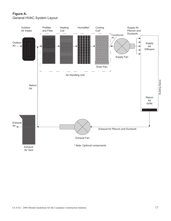# **Figure A.** General HVAC System Layout

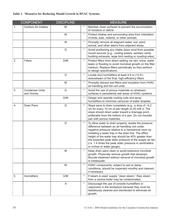# **Table 1. Measures for Reducing Mould Growth in HVAC Systems.**

|                | <b>COMPONENT</b>                       | <b>DISCIPLINE</b> |            | <b>MEASURE</b>                                                                                                                                                                                                                                                                                                                                                                                                                    |
|----------------|----------------------------------------|-------------------|------------|-----------------------------------------------------------------------------------------------------------------------------------------------------------------------------------------------------------------------------------------------------------------------------------------------------------------------------------------------------------------------------------------------------------------------------------|
| 1              | <b>Outdoor Air Intakes</b>             | M                 | $^{\star}$ | Maintain clean surfaces to prevent the accumulation<br>of moisture or debris.                                                                                                                                                                                                                                                                                                                                                     |
|                |                                        | M                 | $\star$    | Protect intakes and surrounding area from infestation<br>of birds, bats, rodents, or other animals.                                                                                                                                                                                                                                                                                                                               |
|                |                                        | M                 | $\star$    | Promptly remove all stagnant water, soil, plant,<br>animal, and other debris from adjacent areas.                                                                                                                                                                                                                                                                                                                                 |
|                |                                        | D                 | $\star$    | Avoid positioning any intake down wind from possible<br>mould sources (e.g., cooling towers, sanitary vents,<br>building exhausts, large bird nesting or roosting sites).                                                                                                                                                                                                                                                         |
| $\overline{2}$ | <b>Filters</b>                         | D/M               | $\star$    | Protect filters from direct wetting via rain, snow, water<br>leaks or flooding to avoid microbial growth on the filter<br>medium. Replace filters periodically so they perform<br>to design specifications.                                                                                                                                                                                                                       |
|                |                                        | D                 | $\star$    | Locate duct humidifiers at least 4.6 m (15 ft.)<br>downstream of the final, high-efficiency filters.                                                                                                                                                                                                                                                                                                                              |
|                |                                        | M                 | $\star$    | Promptly discard wet filters and insulation from HVAC<br>air-handling and fan-coil units.                                                                                                                                                                                                                                                                                                                                         |
| 3              | <b>Condenser Units</b><br>and Vicinity | D                 | $\star$    | Avoid the use of porous materials on airstream<br>surfaces in persistently wet areas of HVAC systems.                                                                                                                                                                                                                                                                                                                             |
|                |                                        | D/M               | $\star$    | Design and operate cooling coils and spray<br>humidifiers to minimize carryover of water droplets.                                                                                                                                                                                                                                                                                                                                |
| 4              | <b>Drain Pans</b>                      | D                 | $\star$    | Slope pans to drain completely (e.g., a drop of -0.2<br>cm for every 10 cm of pan length (0.25 in/ft.)). The<br>slope should direct water toward a drainage point,<br>preferably from the bottom of a pan. Do not insulate<br>pan with porous materials.                                                                                                                                                                          |
|                |                                        | $\mathsf D$       | $\star$    | To allow water to drain properly, isolate the pressure<br>difference between an air-handling unit under<br>negative pressure relative to a mechanical room by<br>installing a water trap in the drain line. The effect<br>height of the water trap should be 40% greater than<br>the expected peak static pressure of the supply air fan<br>(i.e. 1.4 times the peak static pressure in centimeters<br>or inches or water gauge). |
|                |                                        | M                 | $\star$    | Keep drain pans clean to avoid extensive microbial<br>growth. Physically remove growth that develops.<br>Biocide treatment without removal of microbial growth<br>is inadequate.                                                                                                                                                                                                                                                  |
|                |                                        | M                 | $\star$    | HVAC components, subject to wet or damp<br>conditions, should be inspected monthly and cleaned,<br>if necessary.                                                                                                                                                                                                                                                                                                                  |
| 5              | <b>Humidifiers</b>                     | D/M               | $\star$    | If steam is used, supply "clean steam." Raw steam<br>from a central boiler may be contaminated.                                                                                                                                                                                                                                                                                                                                   |
|                |                                        | A                 | $\star$    | Discourage the use of console humidifiers or<br>vaporizers in the workplace because they must be<br>fastidiously cleaned and disinfected to eliminate all<br>growth.                                                                                                                                                                                                                                                              |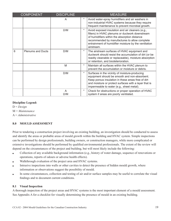|   | <b>COMPONENT</b>         | <b>DISCIPLINE</b> | <b>MEASURE</b> |                                                                                                                                                                                                                                                                              |
|---|--------------------------|-------------------|----------------|------------------------------------------------------------------------------------------------------------------------------------------------------------------------------------------------------------------------------------------------------------------------------|
|   |                          | A                 | $^\star$       | Avoid water-spray humidifiers and air washers in<br>non-industrial HVAC systems because they require<br>frequent maintenance to prevent microbial growth.                                                                                                                    |
|   |                          | D/M               | $\star$        | Avoid exposed insulation and air cleaners (e.g.,<br>filters) in HVAC plenums or ductwork downstream<br>of humidifiers within the absorption distance<br>recommended by manufactures to allow complete<br>entrainment of humidifier moisture by the ventilation<br>airstream. |
| 6 | <b>Plenums and Ducts</b> | D/M               | $\star$        | The airstream surfaces of HVAC equipment and<br>ductwork should resist the accumulation of dirt (or be<br>readily cleanable or replaceable), moisture absorption<br>or retention, and biodeterioration.                                                                      |
|   |                          | M                 | $\star$        | Maintain all surfaces within the HVAC plenum to<br>prevent the accumulation or moisture or debris.                                                                                                                                                                           |
|   |                          | D/M               | $\star$        | Surfaces in the vicinity of moisture-producing<br>equipment should be smooth and non-absorbent.<br>Keep porous insulation in these areas free of dirt<br>and moisture or protect surfaces with a layer that is<br>impermeable to water (e.g., sheet metal).                  |
|   |                          | A<br>D/M          | $\ast$         | Check for obstructions or proper operation of HVAC<br>system if areas are poorly ventilated.                                                                                                                                                                                 |

#### **Discipline Legend:**

D = *Design* M = *Maintenance* A = *Administrative*

# **8.0 MOULD ASSESSMENT**

Prior to tendering a construction project involving an existing building, an investigation should be conducted to assess and identify the areas or probable areas of mould growth within the building and HVAC system. Simple inspections can be performed by design professionals, building owners, or construction managers, while more complicated or extensive investigations should be performed by qualified environmental professionals. The extent of the review will depend on the circumstances of the project and building, but will most likely include the following:

- <sup>l</sup> Collection of any available background information (e.g., history of water damage, sequence of renovations or operations, reports of odours or adverse health effects).
- **.** Walkthrough evaluation of the project area and HVAC systems.
- Intrusive inspections into walls or other cavities to detect the presence of hidden mould growth, where information or observations suggest the possibility of mould.
- In some circumstances, collection and testing of air and/or surface samples may be useful to correlate the visual findings and to document current conditions.

#### **8.1 Visual Inspection**

A thorough inspection of the project areas and HVAC systems is the most important element of a mould assessment. See Appendix A for a checklist for visually determining the presence of mould in an existing building.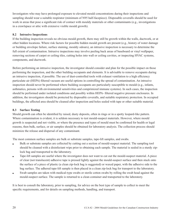Investigators who may have prolonged exposure to elevated mould concentrations during their inspections and sampling should wear a suitable respirator (minimum of N95 half-facepiece). Disposable coveralls should be used for work in areas that pose a significant risk of contact with mouldy materials or other contaminants (e.g., investigations in a crawlspace or attic with extensive visible mould growth).

## **8.2 Intrusive Inspections**

If the building inspection reveals no obvious mould growth, there may still be growth within the walls, ductwork, or at other hidden locations. Where risk factors for possible hidden mould growth are present (e.g., history of water damage or building envelope failure, surface staining, mouldy odours), an intrusive inspection is necessary to determine the full extent of contamination. Intrusive inspections may involve peeling back areas of baseboard or vinyl wallpaper, removing sections of carpet or ceiling tiles, cutting holes into wall or ceiling cavities, or inspecting HVAC systems, components, and ductwork.

Before performing an intrusive inspection, the investigator should consider and plan for the possible impact on those performing the inspection, and the other building occupants and elements. It is advisable to remove occupants during an intrusive inspection, if possible. The use of dust-controlled tools with exhaust ventilation to a high efficiency particulate air (HEPA) filtered vacuum are useful options in controlling the spread of contamination. An intrusive inspection should never be performed where building occupants are particularly susceptible to mould (e.g., infants, asthmatics, persons with environmental sensitivities and comprimized immune systems). In such cases, the inspection should be performed under isolated conditions and possibly within HEPA- filtered negative pressure enclosures. In addition, the investigators should be protected by disposable coveralls, and suitable respiratory protection. In occupied buildings, the affected area should be cleaned after inspection and holes sealed with tape or other suitable material.

# **8.3 Surface Testing**

Mould growth can often be identified by raised, dusty deposits, often in rings or in a spotty leopard-like pattern. Where contamination is evident, it is seldom necessary to test mould-suspect materials. However, where mould growth is suspected and not visible, or where the presence and types of mould must be confirmed for health or legal reasons, then bulk, surface, or air samples should be obtained for laboratory analysis. The collection process should minimize the release and dispersal of any contaminant.

The most common surface samples are bulk or substrate samples, tape-lift samples, and swabs.

- I Bulk or substrate samples are collected by cutting out a section of mould-suspect material. The sampling tool should be cleaned with a disinfectant wipe prior to obtaining each sample. The material is sealed in a sturdy ziplock bag and transported to the laboratory.
- <sup>l</sup> Tape-lift samples are useful where the investigator does not want to cut out the mould-suspect material. A piece of clear (not translucent) adhesive tape is pressed lightly against the mould-suspect surface and then stuck onto the surface of a piece of plastic (a clean zip-lock bag is suggested) or waxed paper, with the adhesive side to the bag surface. The adhered tape-lift sample is then placed in a clean zip-lock bag for transport to the laboratory.
- <sup>l</sup> Swab samples are taken with medical-type swabs or sterile cotton swabs by rolling the swab head against the mould-suspect surface. The sample is returned to a clean container and transported to the laboratory.

It is best to consult the laboratory, prior to sampling, for advice on the best type of sample to collect to meet the specific requirements, and for details on sampling methods, handling, and transport.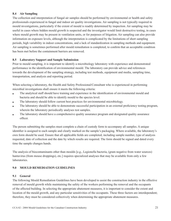## **8.4 Air Sampling**

The collection and interpretation of fungal air samples should be performed by environmental or health and safety professionals experienced in fungal and indoor air quality investigations. Air sampling is not typically required in mould investigations, particularly if the extent of mould is readily determined by inspection. Air sampling may be useful in cases where hidden mould growth is suspected and the investigator would limit destructive testing, in cases where mould growth may be present in ventilation units, or for purposes of litigation. Air sampling can also provide information on exposure levels, although the interpretation is complicated by the limitations of short sampling periods, high variability in indoor concentrations, and a lack of standardization in sampling methods and equipment. Air sampling is sometimes performed after mould remediation is completed, to confirm that an acceptable condition has been met before the containment barriers are removed.

#### **8.5 Laboratory Support and Sample Submission**

Prior to mould sampling, it is important to identify a microbiology laboratory with experience and demonstrated performance in the identification of environmental mould. The laboratory can provide advice and references towards the development of the sampling strategy, including test methods, equipment and media, sampling time, transportation, and analysis and reporting period.

When selecting a laboratory, the Health and Safety Professional/Consultant who is experienced in performing microbial investigations shall ensure it meets the following criteria:

- The analytical staff should have training and experience in the identification of environmental mould and bacteria and should be able to identify mould to the species level.
- The laboratory should follow current best practices for environmental microbiology.
- The laboratory should be able to demonstrate successful participation in an external proficiency testing program, wherein the laboratory periodically analyses test samples.
- The laboratory should have a comprehensive quality assurance program and designated quality assurance officer.

The person submitting the samples must complete a chain of custody form to accompany all samples. A unique identifier is assigned to each sample and clearly marked on the sample's packaging. Where available, the laboratory's own form should be used. Ensure that all applicable fields are completed, including sample number, type of analysis requested, date of collection and the date by which results are required. The form should be signed and dated every time the sample changes hands.

The analysis of biocontaminants other than moulds [e.g., Legionella bacteria, (gram negative from water sources) hantavirus (from mouse droppings), etc.] requires specialized analyses that may be available from only a few laboratories.

# **9.0 MOULD REMEDIATION GUIDELINES**

#### **9.1 General**

The following Mould Remediation Guidelines have been developed to assist the construction industry in the effective removal of mould growth while maintaining the safety of the workers performing the removal and the occupants of the affected building. In selecting the appropriate abatement measures, it is important to consider the extent and location of the mould growth, and any particular sensitivities of the occupants. These three factors are interdependent; therefore, they must be considered collectively when determining the appropriate abatement measures.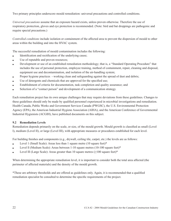Two primary principles underscore mould remediation: universal precautions and controlled conditions.

*Universal precautions* assume that an exposure hazard exists, unless proven otherwise. Therefore the use of respiratory protection, gloves and eye protection is recommended. (Note: bird and bat droppings are pathogenic and require special precautions.)

*Controlled conditions* include isolation or containment of the affected area to prevent the dispersion of mould to other areas within the building and into the HVAC system.

The successful remediation of mould contamination includes the following:

- $\bullet$  Identification and rectification of the underlying cause;
- Use of reputable and proven resources;
- <sup>l</sup> Development or use of an established remediation methodology; that is, a "Standard Operating Procedure" that includes the use of personal protection, employee training, method of containment, repair, cleaning and disposal, equipment use and decontamination, and isolation of the air-handling system;
- Proper hygiene practices working clean and safeguarding against the spread of dust and debris;
- $\bullet$  Use of detergents and chemicals that are approved for the specified use;
- <sup>l</sup> Establishment of criteria for documentation, task completion and quality assurance; and
- Selection of a "contact person" and development of a communication strategy.

Each remediation project has its own unique challenges that may require deviations from these guidelines. Changes to these guidelines should only be made by qualified personnel experienced in microbial investigations and remediation. Health Canada, Public Works and Government Services Canada (PWGSC), the U.S. Environmental Protection Agency (EPA), the American Industrial Hygiene Association (AIHA), and the American Conference of Governmental Industrial Hygienists (ACGIH), have published documents on this subject.

#### **9.2 Remediation Levels**

Remediation depends primarily on the scale, or size, of the mould growth. Mould growth is classified as small (Level l), medium (Level II), or large (Level III), with appropriate measures or procedures established for each level.

For building finishes and components (e.g., drywall, ceiling tile, carpet, etc.) the levels are as follows:

- **Level 1 (Small Scale):** Areas less than 1 square metre  $(10 \text{ square feet})^*$
- Level II (Medium Scale): Areas between 1-10 square metres (10-100 square feet)\*
- Level III (Large Scale): Areas greater than 10 square metres  $(\geq 100$  square feet)\*

When determining the appropriate remediation level, it is important to consider both the total area affected (the perimeter of affected materials) and the density of the mould growth.

\*These are arbitrary thresholds and are offered as guidelines only. Again, it is recommended that a qualifi ed remediation specialist be consulted to determine the specific requirements of the project.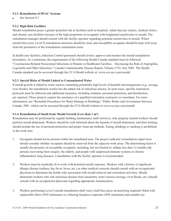#### **9.2.1 Remediation of HVAC Systems**

See Section 9.3

#### **9.2.2 High-Risk Facilities**

Mould remediation poses a greater potential risk in facilities such as hospitals, infant daycare centres, medical clinics, and chronic care facilities because of the high proportion of occupants with heightened sensitivities to mould. The remediation manager should consult with the facility operator regarding potential sensitivities to mould. Where sensitivities exist, Level II remediation measures should be used, and susceptible occupants should be kept well away from the perimeters of the remediation containment areas.

In health care facilities, Infection Control personnel should review, approve and monitor the mould remediation procedures. As a minimum, the requirements of the following Health Canada standard must be followed: "Construction-Related Nosocomial Infections in Patients in Healthcare Facilities – Decreasing the Risk of Aspergillus, Legionella and Other Infections," Canada Communicable Disease Report, Volume 2752, July 2001. The Health Canada standard can be accessed through the CCA Mould website at: www.cca-acc.com/mould.

#### **9.2.3 Special Risks of Mould Linked to Contaminated Water**

If mould growth is linked to water sources containing potentially high levels of harmful microorganisms (e.g., sewage, river floods), the remediation worker has the added risk of infectious disease. In such cases, specific restoration protocols must be followed and additional measures, including isolation, personal protection, and disinfection, are required. These projects require the assistance of a qualified restoration contractor or consultant. For more information, see "Remedial Procedures for Water Damage in Buildings," Public Works and Government Services Canada, 2001, which can be accessed through the CCA Mould website at www.cca-acc.com/mould.

#### **9.2.4 Remediation of Small-Scale Mould Growth (Less than 1 m²)**

Remediation may be performed by regular building maintenance staff; however, only properly trained workers should perform mould abatement. Workers should be well informed about the hazards of mould abatement, and their training should include the use of personal protection and proper clean-up methods. Eating, drinking or smoking is prohibited in the work area.

- 1. Occupants should not be present within the remediated area. The project authority (remediation supervisor) should consider whether occupants should be removed from the adjacent work areas. The determining factor is usually the presence of susceptible occupants, including, but not limited to, infants less than 12 months old, persons recovering from surgery, the elderly, and people with suppressed immune systems or chronic inflammatory lung diseases. Consultation with the facility operator is recommended.
- 2. Workers must be medically fit to work with potential mould exposure. Workers with a history of significant allergic disease (asthma, hay fever, hives, etc.) or other medical concerns should consult with an occupational physician to determine the health risks associated with mould removal and restoration activities. Mould abatement workers who risk infectious disease from unsanitary water sources (sewage, river floods, etc.) should consult with an occupational physician regarding appropriate immunization.
- 3. Workers performing Level I mould remediation shall wear a half-face piece air-purifying respirator fitted with replaceable filters (N95 minimum) or a filtering facepiece respirator (N95 minimum) and suitable eye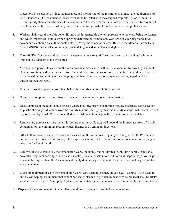protection. The selection, fitting, maintenance, and monitoring of the respirator shall meet the requirements of CSA Standard Z94.4, as amended. Workers shall be fit-tested with the assigned respirator, prior to the initial use and yearly thereafter. The seal of the respirator to the wearer's face shall not be compromised by any facial hair. Filters shall be disposed of daily due to the potential growth of mould spores on damp filter media.

- 4. Workers shall wear disposable coveralls and dust-impermeable gloves appropriate to the work being performed, and water-impermeable gloves when applying detergent or disinfectant. Workers can wear disposable boot covers or they should clean their boots before leaving the remediation area. Refer to the Material Safety Data Sheet (MSDS) for the selection of appropriate detergents, disinfectants, and gloves.
- 5. Turn off HVAC systems and seal over all system openings (e.g., diffusers and return air openings) within or immediately adjacent to the work area.
- 6. Movable non-porous items within the work area shall be cleaned with a HEPA vacuum, followed by a suitable cleaning solution, and then removed from the work site. Fixed non-porous items within the work area shall be first cleaned by vacuuming and wet wiping, and then sealed under polyethylene sheeting, taped in place during remediation work.
- 7. Wherever possible, place a drop sheet below the mouldy materials to be removed.
- 8. Do not use compressed air mechanical devices to clean up or remove contamination.
- 9. Dust suppression methods should be used where possible, prior to disturbing mouldy materials. Tape a section of plastic sheeting or duct tape over the mouldy material, or, lightly mist the mouldy material with water. Do not dry sweep or dry whisk. Power tools fitted with dust collection bags will reduce airborne particulates.
- 10. Remove any porous substrate materials (ceiling tiles, drywall, etc.) well beyond the immediate areas of visible contamination; the minimum recommended distance is 30 cm in all directions.
- 11. After bulk removal, clean all exposed surfaces within the work area. Begin by cleaning with a HEPA vacuum and appropriate tools. Do not use any other type of vacuum. If a HEPA vacuum is not available, wet wiping is adequate for Level I work.
- 12. Remove all waste created by the remediation work, including, but not limited to, building debris, disposable coveralls, respirator cartridges, and plastic sheeting. Seal all waste into 6 mil nominal disposal bags. Wet wipe or clean the bags with a HEPA vacuum and finally double-bag in a second clean 6 mil nominal bag or suitable sealed container.
- 13. Clean all equipment used in the remediation work (e.g., vacuum cleaner, knives, saws) using a HEPA vacuum and by wet wiping. Equipment that cannot be readily cleaned (e.g. vacuum hose or wire brushes) shall be HEPA vacuumed and sealed in 6 mil polyethylene bags or suitable sealed container before removal from the work area.
- 14. Dispose of the waste material in compliance with local, provincial, and federal regulations.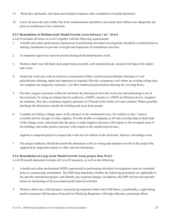- 15. Wash face and hands, and clean and maintain respirator after completion of mould abatement.
- 16. Leave all areas dry and visibly free from contamination and debris, and ensure that surfaces are adequately dry prior to installation of new materials.

# **9.2.5 Remediation of Medium-Scale Mould Growth (Areas between 1 m²– 10 m²)**

Level II includes all items in Level I together with the following requirements:

- 1. A health and safety professional experienced in performing microbial investigations should be consulted prior to starting remediation to provide oversight and inspection of remediation activities.
- 2. A competent supervisor must be present during all decontamination work.
- 3. Workers shall wear full-body dust-impervious coveralls, with attached hoods, secured with tape at the ankles and wrists.
- 4. Isolate the work area with an enclosure constructed of fibre-reinforced polyethylene sheeting or 6 mil polyethylene sheeting, taped and supported as required. Provide a temporary roof where an existing ceiling does not complete the temporary enclosure. Use fibre-reinforced polyethylene sheeting for covering floors.
- 5. Provide a negative pressure within the enclosure by drawing air from the work area and exhausting it out of the enclosure, by using an exhaust fan (to outdoors), a HEPA vacuum or a HEPA air filtration device (negative air machine). Provide a minimum negative pressure of 5 Pascals (0.02 inches of water column). Where possible, discharge the filtered air outside the building and away from people.
- 6. Consider providing a change space at the entrance to the containment area, for workers to don / remove coveralls and for storage of clean supplies. Provide double-overlapping or slit and covering flaps at both ends of the change room, and ensure that the space is under negative pressure with respect to the occupied areas of the building, and under positive pressure with respect to the mould removal area.

Appoint a competent person to inspect the work area for defects in the enclosure, barriers, and change room.

7. The project authority should document the abatement work in writing and maintain records in the project file, supported by inspection reports or other relevant documents.

# **9.2.6 Remediation of Large-Scale Mould Growth (Areas greater than 10 m²)**

Level III mould abatement includes all Level II measures, as well as the following:

- 1. A health and safety professional (HSP) experienced in performing microbial investigations must be consulted prior to commencing remediation. The HSP must determine whether the following procedures are applicable to the specific remediation project, and identify any required changes. In addition, the HSP will provide periodic hands-on monitoring of all associated mould removal activities.
- 2. Workers shall wear a full-facepiece air purifying respirator fitted with P100 filters, or preferably, a tight-fitting positive-pressure full-facepiece Powered Air Purifying Respirator with high-efficiency particulate filters.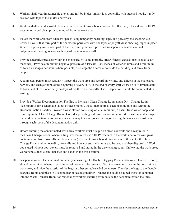- 3. Workers shall wear impermeable gloves and full-body dust-impervious coveralls, with attached hoods, tightly secured with tape at the ankles and wrists.
- 4. Workers shall wear disposable boot covers or separate work boots that can be effectively cleaned with a HEPA vacuum or wiped clean prior to removal from the work area.
- 5. Isolate the work area from adjacent spaces using temporary hoarding, tape, and polyethylene sheeting, etc. Cover all walls that form part of the enclosure perimeter with one layer of polyethylene sheeting, taped in place. Where temporary walls form part of the enclosure perimeter, provide two separately sealed layers of polyethylene sheeting, one on each side of the temporary wall.
- 6. Provide a negative pressure within the enclosure, by using portable, HEPA-fi ltered exhaust fans (negative air machines). Provide a minimum negative pressure of 5 Pascals (0.02 inches of water column) and a minimum of four air changes per hour. Where possible, discharge the fi ltered air outside the building and away from people.
- 7. A competent person must regularly inspect the work area and record, in writing, any defects in the enclosure, barriers, and change room, at the beginning of every shift, at the end of every shift where no shift immediately follows, and at least once daily on days where there are no shifts. These inspections should be documented in writing.
- 8. Provide a Worker Decontamination Facility, to include a Clean Change Room and a Dirty Change Room. (see Figure B for a schematic layout of these rooms). Install flap doors at each opening into and within the Decontamination Facility. Provide a wash station consisting of, at a minimum, a basin, fresh water, soap, and toweling in the Clean Change Room. Consider providing a shower for worker comfort. Construct and arrange the worker decontamination rooms in such a way that everyone entering or leaving the work area must pass through each room of the decontamination unit.
- 9. Before entering the contaminated work area, workers must first put on clean coveralls and a respirator in the Clean Change Room. When exiting, workers must use a HEPA vacuum in the work area to remove gross contamination from coveralls and boot covers (or separate work boots). Workers must then enter the Dirty Change Room and remove dirty coveralls and boot covers, the latter are to be used and then disposed of. Work boots used without boot covers must be removed and stored in the dirty change room. On leaving the work area, workers must then clean their face and hands in the wash station.
- 10. A separate Waste Decontamination Facility, consisting of a Double Bagging Room and a Waste Transfer Room, should be provided where large volumes of waste will be removed. Seal the waste into bags in the contaminated work area, and wipe the exterior of the bags or other suitable sealed containers. Transfer the bags to the Double Bagging Room and place in a second bag or sealed container. Transfer the double-bagged waste or container into the Waste Transfer Room for removal by workers entering from outside the decontamination facilities.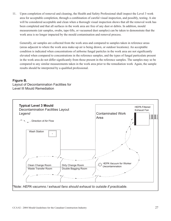11. Upon completion of removal and cleaning, the Health and Safety Professional shall inspect the Level 3 work area for acceptable completion, through a combination of careful visual inspection, and possibly, testing. A site will be considered acceptable and clean when a thorough visual inspection shows that all the removal work has been completed and that all surfaces in the work area are free of any dust or debris. In addition, mould measurements (air samples, swabs, tape-lifts, or vacuumed dust samples) can be taken to demonstrate that the work area is no longer impacted by the mould contamination and removal process.

Generally, air samples are collected from the work area and compared to samples taken in reference areas (areas adjacent to where the work area make-up air is being drawn, or outdoor locations). An acceptable condition is indicated when concentrations of airborne fungal particles in the work area are not significantly elevated when compared to concentrations in the reference samples, and the types of fungal particulate present in the work area do not differ significantly from those present in the reference samples. The samples may so be compared to any similar measurements taken in the work area prior to the remediation work Again, the sample results should be interpreted by a qualified professional.

# **Figure B.**

Layout of Decontamination Facilities for Level III Mould Remediation

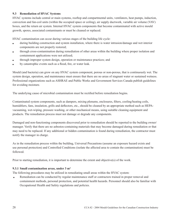## **9.3 Remediation of HVAC Systems**

HVAC systems include central or main systems, rooftop and compartmental units, ventilators, heat pumps, induction, convection and fan-coil units (within the occupied space or ceiling), air supply ductwork, variable air volume (VAV) boxes, and the return air system. Internal HVAC system components that become contaminated with active mould growth, spores, associated contaminants or must be cleaned or replaced.

HVAC contamination can occur during various stages of the building life cycle:

- <sup>l</sup> during building construction and system installation, where there is water intrusion/damage and wet interior components are not properly restored;
- through cross-contamination during remediation of other areas within the building where proper isolation and containment applications were not utilized;
- <sup>l</sup> through improper system design, operation or maintenance practices; and
- by catastrophic events such as a flood, fire, or water leak.

Mould (and bacteria) can grow on any HVAC system component, porous or non-porous, that is continuously wet. The system design, operation, and maintenance must ensure that there are no areas of stagnant water or sustained wetness. Professional organizations such as ASHRAE and Public Works and Government Services Canada publish guidelines for avoiding moisture.

The underlying cause of microbial contamination must be rectified before remediation begins.

Contaminated system components, such as dampers, mixing plenums, enclosures, filters, cooling/heating coils, humidifiers, fans, insulation, grills and deflectors, etc., should be cleaned by an appropriate method such as HEPAvacuuming, wet-wiping, pressure washing, or other mechanical means, using suitable cleaning equipment and products. The remediation process must not damage or degrade any components.

Damaged and non-functioning components discovered prior to remediation should be reported to the building owner/ manager. Verify that there are no asbestos-containing materials that may become damaged during remediation or that may need to be replaced. If any additional or hidden contamination is found during remediation, the contractor must notify the manager in charge.

As in the remediation process within the building, Universal Precautions (assume an exposure hazard exists and use personal protection) and Controlled Conditions (isolate the affected area to contain the contamination) must be followed.

Prior to starting remediation, it is important to determine the extent and objective(s) of the work.

#### **9.3.1 Small contamination areas, under 3 m²**

The following procedures may be utilized in remediating small areas within the HVAC system:

Remediation can be conducted by regular maintenance staff or contractors trained in proper removal and containment methods, personal protection, and potential health hazards. Personnel should also be familiar with Occupational Health and Safety regulations and policies.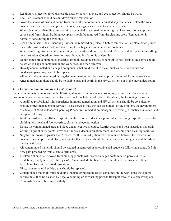- **e** Respiratory protection (N95 disposable mask or better), gloves, and eye protection should be worn.
- The HVAC system should be shut down during remediation.
- <sup>l</sup> Avoid the spread of dust and debris from the work site to non-contaminated adjacent areas. Isolate the zone, cover clean components, and protect motors, bearings, sensors, electrical components, etc.
- <sup>l</sup> When cleaning air-handling units within an occupied space, seal the return grills. Use drop cloths to protect carpets and furnishings. Building occupants should be removed from the cleaning area. (Remediation is normally done during the evenings.)
- Clean filters inside the air-handling unit can be removed or protected before remediation. Contaminated porous materials must be discarded; and sealed in plastic bags or a suitable sealed container.
- When removing insulation, the underlying metal surface should be cleaned of debris and dust prior to installing new insulation. Closed-cell foam or metal-bonded insulation is preferable.
- Do not transport contaminated materials through occupied spaces. Where this is not feasible, the debris should be sealed in bags or containers in the work area, and then removed.
- leavily contaminated or damaged components that are difficult to clean, such as coils, reservoirs and condensate pans, may need to be replaced.
- <sup>l</sup> All tools and equipment used during decontamination must be cleaned prior to removal from the work site.
- <sup>l</sup> After remediation, there should be no visible dust and debris in the HVAC system nor in the mechanical room.

### **9.3.2 Larger contamination areas (3 m² or more)**

Larger contamination areas within the HVAC system or in the mechanical room may require the services of a professional restoration / remediation firm and should include, in addition to the above, the following measures:

- A qualified professional with experience in mould remediation and HVAC systems should be consulted to provide project management services. These services may include assessment of the problem, the development of a Scope of Work (Standard Operating Procedure), remediation management, oversight, quality assurance, and acceptance testing.
- Workers must wear a full-face respirator with HEPA cartridges or a powered air purifying respirator, disposable clothing with head and foot covering, gloves, and eye protection.
- Isolate the contaminated area and place under negative pressure. Restrict access and post hazardous materials warning signs at entry points. Provide air locks, a decontamination room, and washing and clean-up facilities.
- Negative air pressure greater than 5 Pascal (or 0.02 in. WC) should be maintained between the remediation area and the occupied workplace, and greater than 2 Pascal should be between the cleaning area and the adjacent mechanical space.
- Ill contaminated materials should be cleaned or removed in an established sequence following a controlled air flow path proceeding from clean to dirty areas.
- Insulation should be removed from air supply ducts with water-damaged contaminated porous internal insulation (usually unbonded fibreglass). Contaminated fibreboard ducts should also be discarded. Where feasible replace with external insulation.
- $\bullet$  Dirty, contaminated fl exible ducts should be replaced.
- <sup>l</sup> Contaminated materials must be double-bagged or placed in sealed containers in the work area; the external surface must then be cleaned by hepa-vacuuming or by washing prior to transport through a clean workplace. Combustibles must be removed daily.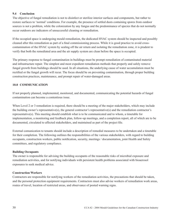## **9.4 Conclusion**

The objective of fungal remediation is not to disinfect or sterilize interior surfaces and components, but rather to restore surfaces to 'normal' conditions. For example, the presence of settled dusts containing spores from outdoor sources is not a problem, while the colonization by any fungus and the predominance of species that do not normally occur outdoors are indicators of unsuccessful cleaning or remediation.

If the occupied space is undergoing mould remediation, the dedicated HVAC system should be inspected and possibly cleaned after this remediation as part of a final commissioning process. While it is good practice to avoid crosscontamination of the HVAC system by sealing off the air return and isolating the remediation zone, it is prudent to verify that both the remediated area and the air supply system are clean before the space is occupied.

The primary response to fungal contamination in buildings must be prompt remediation of contaminated material and infrastructure repair. The simplest and most expedient remediation methods that properly and safely remove fungal growth from buildings should be used. In all situations, the underlying cause of water accumulation must be rectified or the fungal growth will recur. The focus should be on preventing contamination, through proper building construction practices, maintenance, and prompt repair of water-damaged areas.

#### **10.0 COMMUNICATION**

If not properly planned, implemented, monitored, and documented, communicating the potential hazards of fungal contamination can become a contentious issue.

When Level 2 or 3 remediation is required, there should be a meeting of the major stakeholders, which may include the building owner's representative(s), the general contractor's representative(s) and the remediation contractor's representative(s). This meeting should establish what is to be communicated and to whom, a timetable for implementation, a monitoring and feedback plan, follow-up meetings, and a completion report, all of which are to be documented, circulated to affected stakeholders, and maintained as part of the project file.

External comunication to tenants should include a description of remedial measures to be undertaken and a timetable for their completion. The following outlines the responsibilities of the various stakeholders, with regard to building occupants, construction workers, public notification, security, meetings / documentation, joint Health and Safety committees, and regulatory compliance.

#### **Building Occupants**

The owner is responsible for advising the building occupants of the reasonable risks of microbial exposure and remediation activities, and for notifying individuals with persistent health problems associated with bioaerosol exposures to seek medical advice.

#### **Construction Workers**

Contractors are responsible for notifying workers of the remediation activities, the precautions that should be taken, and the personal protection equipment requirements. Contractors must also advise workers of remediation work areas, routes of travel, location of restricted areas, and observance of posted warning signs.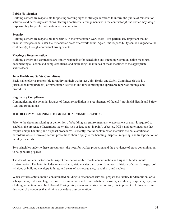#### **Public Notification**

Building owners are responsible for posting warning signs at strategic locations to inform the public of remediation activities and necessary restrictions. Through contractual arrangements with the contractor(s), the owner may assign responsibility for public notification to the contractor.

#### **Security**

Building owners are responsible for security in the remediation work areas - it is particularly important that no unauthorized personnel enter the remediation areas after work hours. Again, this responsibility can be assigned to the contractor(s) through contractual arrangements.

#### **Meetings / Documentation**

Building owners and contractors are jointly responsible for scheduling and attending Communication meetings, documenting all action and completed items, and circulating the minutes of these meetings to the appropriate stakeholders.

#### **Joint Health and Safety Committees**

Each stakeholder is responsible for notifying their workplace Joint Health and Safety Committee (if this is a jurisdictional requirement) of remediation activities and for submitting the applicable report of findings and procedures.

#### **Regulatory Compliance**

Communicating the potential hazards of fungal remediation is a requirement of federal / provincial Health and Safety Acts and Regulations.

#### **11.0 DECOMMISSIONING / DEMOLITION CONSIDERATIONS**

Prior to the decommissioning or demolition of a building, an environmental site assessment or audit is required to establish the presence of hazardous materials, such as lead (e.g., in paint), asbestos, PCBs, and other materials that require unique handling and disposal procedures. Currently, mould-contaminated materials are not classified as hazardous waste. However, certain precautions should apply to the handling, disposal, recycling, and transportation of mouldy materials.

Two principles underlie these precautions - the need for worker protection and the avoidance of cross-contamination to neighbouring spaces.

The demolition contractor should inspect the site for visible mould contamination and signs of hidden mould contamination. The latter includes musty odours, visible water damage or dampness, a history of water damage, roof, window, or building envelope failures, and years of non-occupancy, vandalism, and neglect.

When workers enter a mould-contaminated building to disconnect services, prepare the facility for demolition, or to salvage items, industrial hygiene practices similar to Level III remediation measures, specifically respiratory, eye, and clothing protection, must be followed. During this process and during demolition, it is important to follow work and dust control procedures that eliminate or reduce dust generation.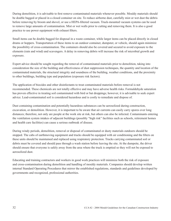During demolition, it is advisable to first remove contaminated materials whenever possible. Mouldy materials should be double bagged or placed in a closed container on site. To reduce airborne dust, carefully mist or wet dust the debris before removing by broom and shovel, or use a HEPA-filtered vacuum. Truck-mounted vacuum systems can be used to remove large amounts of contamination. Mist or wet walls prior to cutting and removing them. It is also a good practice to use power equipment with exhaust filters.

Small items can be double bagged for disposal in a waste container, while larger items can be placed directly in closed drums or hoppers. Transportation of these items to an outdoor container, dumpster, or vehicle, should again minimize the possibility of cross-contamination. The containers should also be covered and secured to avoid exposure to the elements (rain and wind) and scavengers. A delay in removing debris will increase the risk of microbial growth and exposure.

Expert advice should be sought regarding the removal of contaminated materials prior to demolition, taking into consideration the size of the building and effectiveness of dust suppression techniques, the quantity and location of the contaminated materials, the structural integrity and soundness of the building, weather conditions, and the proximity to other buildings, building type and population (exposure risk factors).

The application of biocides and other disinfectants to treat contaminated materials before removal is not recommended. These chemicals are not totally effective and may have adverse health risks. Formaldehyde saturation has proven effective in treating soil contaminated with bird or bat droppings; however, it is advisable to seek expert advice. Lead-contaminated soil is considered hazardous and is costly to remediate and dispose of.

Dust containing contamination and potentially hazardous substances can be aerosolized during construction, excavation, or demolition. However, it is important to be aware that air currents can easily carry spores over long distances; therefore, not only are people at the work site at risk, but others can also be infected. Contaminants entering the ventilation system intakes of adjacent buildings (possibly "high risk" facilities such as schools, retirement homes and health care facilities) can cause a serious outbreak of disease.

During windy periods, demolition, removal or disposal of contaminated or dusty materials outdoors should be stopped. The cabs of earthmoving equipment and trucks should be equipped with air conditioning and the filters on these units should be maintained and replaced using respiratory protection. Trucks carrying contaminated soil or debris must be covered and should pass through a wash station before leaving the site. At the dumpsite, the driver should ensure that everyone is safely away from the area where the truck is emptied so they will not be exposed to aerosolized dust.

Educating and training contractors and workers in good work practices will minimize both the risk of exposure and cross-contamination during demolition and handling of mouldy materials. Companies should develop written internal Standard Operating Procedures that mirror the established regulations, standards and guidelines developed by governments and recognized, professional authorities.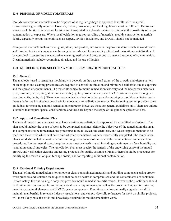#### **12.0 DISPOSAL OF MOULDY MATERIALS**

Mouldy construction materials may be disposed of as regular garbage in approved landfills, with no special considerations generally required. However, federal, provincial, and local regulations must be followed. Debris and waste should be stored in a secure location and transported in a closed container to minimize the possibility of crosscontamination or exposure. Where local legislation requires recycling of materials, mouldy construction materials debris, especially porous materials such as carpets, textiles, insulation, and drywall, should not be included.

Non-porous materials such as metal, glass, stone, and plastics, and some semi-porous materials such as wood beams and framing, brick and concrete, can be recycled or salvaged for re-use. A professional restoration specialist should be consulted to determine the appropriate cleaning methods and precautions to prevent the spread of contamination. Cleaning methods include vacumning, abrasion, and the use of liquids.

#### **13.0 GUIDELINES FOR SELECTING MOULD REMEDIATION CONTRACTORS**

#### **13.1 General**

The method(s) used to remediate mould growth depends on the cause and extent of the growth, and often a variety of techniques and cleaning procedures are required to control the situation and minimize health risks due to exposure and the spread of contaminants. The materials subject to mould remediation also vary and include porous materials (e.g., furniture, carpet, etc.), structural elements (e.g. tile, insulation, etc.), and HVAC system components (e.g., air handling units, ducts, etc.). There is no one single Canadian body that provides training in mould remediation nor is there a definitive list of selection criteria for choosing a remediation contractor. The following section provides some guidelines for choosing a mould remediation contractor. However, these are general guidelines only. There are unique situations that require special consideration, and these are beyond the scope of the guidelines presented here.

#### **13.2 Approved Remediation Plan**

The mould remediation contractor must have a written remediation plan approved by a qualified professional. The plan should include the scope of work to be completed, and must define the objectives of the remediation, the areas and components to be remediated, the procedures to be followed, the chemicals, and waste disposal methods to be used, and the criteria which will determine whether remediation has been successfully completed. The remediation plan should also include a work schedule outlining the sequence of events and the documentation and inspection procedures. Environmental control requirements must be clearly stated, including containment, airflow, humidity and ventilation control strategies. The remediation plan must specify the remedy of the underlying cause of the mould growth, and verification cleaning and testing protocols for quality assurance. Finally, there should be procedures for modifying the remediation plan (change orders) and for reporting additional contamination.

#### **13.3 Continual Training Requirements**

The goal of mould remediation is to remove or clean contaminated materials and building components using proper work practices and isolation techniques so that no one's health is compromised and the contaminants are contained. Unfortunately, there is no single body that provides mould remediation certification. However, the practitioner should be familiar with current public and occupational health requirements, as well as the proper techniques for restoring materials, structural elements, and HVAC system components. Practitioners who continually upgrade their skills, maintain membership in relevant industry associations, and can provide solid references for work on similar projects, will most likely have the skills and knowledge required for mould remediation work.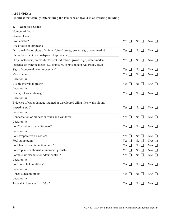# **APPENDIX A Checklist for Visually Determining the Presence of Mould in an Existing Building**

# **1. Occupied Space**

| Number of floors:                                                             |                                 |                     |                 |
|-------------------------------------------------------------------------------|---------------------------------|---------------------|-----------------|
| General Uses:                                                                 |                                 |                     |                 |
| Problematic?                                                                  | Yes $\Box$                      | $No$ $\Box$         | $N/A$ $\square$ |
| Use of attic, if applicable:                                                  |                                 |                     |                 |
| Dirty, malodours, signs of animals/birds/insects, growth sign, water marks?   | Yes<br>$\Box$                   | $No$ $\Box$         | $N/A$ $\square$ |
| Use of basement or crawlspace, if applicable:                                 |                                 |                     |                 |
| Dirty, malodours, animal/bird/insect indication, growth sign, water marks?    | Yes $\Box$                      | No $\Box$           | $N/A$ $\square$ |
| Presence of water features (e.g. fountains, sprays, indoor waterfalls, etc.): |                                 |                     |                 |
| Sign of abnormal water movement?                                              | Yes<br>ப                        | $\rm No$ $\Box$     | $N/A$ $\square$ |
| Malodours?                                                                    | Yes<br>⊔                        | $No$ $\Box$         | $N/A$ $\square$ |
| $Location(s)$ :                                                               |                                 |                     |                 |
| Visible microbial growth?                                                     | Yes<br>ப                        | $\rm No$ $\Box$     | $N/A$ $\square$ |
| $Location(s)$ :                                                               |                                 |                     |                 |
| History of water damage?                                                      | Yes<br>ப                        | $\rm No$ $\Box$     | $N/A$ $\square$ |
| $Location(s)$ :                                                               |                                 |                     |                 |
| Evidence of water damage (stained or discoloured ciling tiles, walls, floors, |                                 |                     |                 |
| carpeting etc.)?                                                              | Yes<br>$\overline{\phantom{a}}$ | No<br>$\Box$        | $N/A$ $\square$ |
| $Location(s)$ :                                                               |                                 |                     |                 |
| Condensation or mildew on walls and windows?                                  | Yes $\Box$                      | No $\Box$           | $N/A$ $\square$ |
| $Location(s)$ :                                                               |                                 |                     |                 |
| Foul* window air conditioners?                                                | Yes $\Box$                      | $\rm No$ $\Box$     | $N/A$ $\square$ |
| $Location(s)$ :                                                               |                                 |                     |                 |
| Foul evaporative air coolers?                                                 | Yes<br>- 1                      | N <sub>0</sub><br>Ш | $N/A$ $\square$ |
| Foul sump pump?                                                               | Yes<br>ப                        | N <sub>0</sub><br>ப | $N/A$ $\square$ |
| Foul fan coil and induction units?                                            | Yes<br>ப                        | $\rm No$ $\Box$     | $N/A$ $\square$ |
| Potted plants with visible microbial growth?                                  | Yes<br>- 1                      | $No$ $\Box$         | $N/A$ $\square$ |
| Portable air cleaners for odour control?                                      | Yes $\Box$                      | $No$ $\Box$         | $N/A$ $\square$ |
| $Location(s)$ :                                                               |                                 |                     |                 |
| Foul console humidifiers?                                                     | Yes<br>- 1                      | $No$ $\Box$         | $N/A$ $\square$ |
| $Location(s)$ :                                                               |                                 |                     |                 |
| Console dehumidifiers?                                                        | Yes<br>$\mathbf{r}$             | $No$ $\Box$         | $N/A$ $\square$ |
| $Location(s)$ :                                                               |                                 |                     |                 |
| Typical RH greater than 60%?                                                  | Yes                             | $No$ $\Box$         | $N/A$ $\square$ |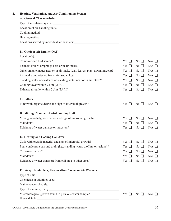#### **2. Heating, Ventilation, and Air-Conditioning System**

# **A. General Characteristics**

| Type of ventilation system:                  |
|----------------------------------------------|
| Location of air-handling units:              |
| Cooling method:                              |
| Heating method:                              |
| Locations served by individual air handlers: |

## **B. Outdoor Air Intake (OAI)**

| $Location(s)$ :                                                                 |                |             |                 |
|---------------------------------------------------------------------------------|----------------|-------------|-----------------|
| Compromised bird screen?                                                        | Yes $\Box$     | $No$ $\Box$ | $N/A$ $\square$ |
| Feathers or bird droppings near or in air intake?                               | Yes<br>⊔       | No $\Box$   | $N/A$ $\square$ |
| Other organic matter near or in air intake (e.g., leaves, plant down, insects)? | Yes $\Box$     | $No$ $\Box$ | $N/A$ $\square$ |
| Air intake unprotected from rain, snow, fog?                                    | Yes $\Box$     | No $\Box$   | $N/A$ $\square$ |
| Standing water or evidence or standing water near or in air intake?             | Yes $\Box$     | $No$ $\Box$ | $N/A$ $\square$ |
| Cooling tower within $7.5$ m $(25$ ft.)?                                        | Yes $\Box$     | $No$ $\Box$ | $N/A$ $\square$ |
| Exhaust air outlet within 7.5 m (25 ft.)?                                       | Yes $\Box$     | No $\Box$   | $N/A$ $\square$ |
| C. Filters                                                                      |                |             |                 |
| Filter with organic debris and sign of microbial growth?                        | Yes $\Box$     | No $\Box$   | $N/A$ $\square$ |
| D. Mixing Chamber of Air-Handling Unit                                          |                |             |                 |
| Mixing area dirty, with debris and sign of microbial growth?                    | Yes.<br>$\Box$ | No $\Box$   | $N/A$ $\square$ |
| Malodours?                                                                      | Yes $\Box$     | $No$ $\Box$ | $N/A$ $\square$ |
| Evidence of water damage or intrusion?                                          | Yes $\Box$     | $No$ $\Box$ | $N/A$ $\square$ |
| E. Heating and Cooling Coil Area                                                |                |             |                 |
| Coils with organic material and sign of microbial growth?                       | Yes<br>⊔       | $No$ $\Box$ | $N/A$ $\square$ |
| Foul condensate pan and drain (i.e., standing water, biofilm, or residue)?      | Yes $\Box$     | $No$ $\Box$ | $N/A$ $\square$ |
| Corrosion on pan?                                                               | Yes $\Box$     | No $\Box$   | $N/A$ $\square$ |
| Malodours?                                                                      | Yes $\Box$     | $No$ $\Box$ | $N/A$ $\square$ |
| Evidence or water transport from coil area to other areas?                      | Yes $\Box$     | No $\Box$   | $N/A$ $\square$ |
| F. Stray Humidifiers, Evaporative Coolers or Air Washers                        |                |             |                 |
| Type of unit:                                                                   |                |             |                 |
| Chemicals or additives used:                                                    |                |             |                 |
| Maintenance schedule:                                                           |                |             |                 |
| Type of medium, if any:                                                         |                |             |                 |
| Microbiological growth found in previous water sample?<br>If yes, details:      | Yes            | No $\Box$   | $N/A$ $\square$ |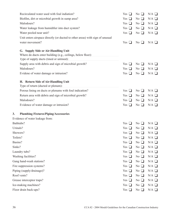|        | Recirculated water used with foul indiation?                                  | Yes $\Box$          | $\rm No$ $\Box$                            | $N/A$ $\square$ |
|--------|-------------------------------------------------------------------------------|---------------------|--------------------------------------------|-----------------|
|        | Biofilm, dirt or microbial growth in sump area?                               | Yes<br>$\Box$       | N <sub>0</sub><br>ப                        | $N/A$ $\square$ |
|        | Malodours?                                                                    | Yes<br>$\Box$       | $No$ $\Box$                                | $N/A$ $\square$ |
|        | Water leakage from humidifier into duct system?                               | Yes<br>⊔            | $No$ $\Box$                                | $N/A$ $\square$ |
|        | Water pooled near unit?                                                       | Yes $\Box$          | $\overline{N_0}$ $\Box$                    | $N/A$ $\square$ |
|        | Unit enters airspace directly (or ducted to other areas) with sign of unusual |                     |                                            |                 |
|        | water movement?                                                               | Yes<br>ப            | $\rm No$ $\Box$                            | $N/A$ $\square$ |
|        | G. Supply Side or Air-Handling Unit                                           |                     |                                            |                 |
|        | Where do ducts enter building (e.g., ceilings, below floor):                  |                     |                                            |                 |
|        | Type of supply ducts (lined or unlined):                                      |                     |                                            |                 |
|        | Supply area with debris and sign of microbial growth?                         | Yes<br>$\Box$       | No $\Box$                                  | $N/A$ $\square$ |
|        | Malodours?                                                                    | Yes<br>ப            | No<br>⊔                                    | $N/A$ $\square$ |
|        | Evidene of water damage or intrusion?                                         | Yes $\Box$          | $No$ $\Box$                                | $N/A$ $\square$ |
|        | H. Return Side of Air-Handling Unit                                           |                     |                                            |                 |
|        | Type of return (ducted or plenum):                                            |                     |                                            |                 |
|        | Porous lining on ducts or plenums with foul indication?                       | Yes<br>$\Box$       | $No$ $\Box$                                | $N/A$ $\square$ |
|        | Return area with debris and sign of microbial growth?                         | Yes<br>ப            | $No$ $\Box$                                | $N/A$ $\square$ |
|        | Malodours?                                                                    | Yes $\Box$          | $\overline{N_0}$                           | $N/A$ $\square$ |
|        | Evidence of water damage or intrusion?                                        | Yes $\Box$          | $No$ $\Box$                                | $N/A$ $\square$ |
| 3.     | <b>Plumbing Fixtures/Piping/Accessories</b>                                   |                     |                                            |                 |
|        | Evidence of water leakage from:                                               |                     |                                            |                 |
|        | Bathtubs?                                                                     | Yes<br>$\Box$       | N <sub>0</sub><br>$\Box$                   | $N/A$ $\square$ |
|        | Urinals?                                                                      | Yes<br>$\mathbf{I}$ | N <sub>0</sub><br>- 1                      | $N/A$ $\square$ |
|        | Showers?                                                                      | Yes<br>$\Box$       | N <sub>0</sub><br>ப                        | $N/A$ $\square$ |
|        | Toilets?                                                                      | $\Box$<br>Yes       | $No$ $\Box$                                | $N/A$ $\square$ |
|        | Basins?                                                                       | Yes $\Box$          | $No$ $\Box$                                | $N/A$ $\square$ |
| Sinks? |                                                                               | Yes $\Box$          | $No$ $\Box$                                | $N/A$ $\square$ |
|        | Laundry tubs?                                                                 | Yes $\Box$          | $No$ $\Box$                                | $N/A$ $\square$ |
|        | Washing facilities?                                                           | Yes<br>$\perp$      | N <sub>0</sub><br>$\Box$                   | $N/A$ $\square$ |
|        | Gang hand-wash stations?                                                      | Yes $\Box$          | $No$ $\Box$                                | $N/A$ $\square$ |
|        | Fire suppression systems?                                                     | Yes<br>⊔            | $No$ $\Box$                                | $N/A$ $\square$ |
|        | Piping (supply/drainage)?                                                     | Yes<br>ப            | $No$ $\Box$                                | $N/A$ $\square$ |
|        | Roof vents?                                                                   | Yes $\Box$          | $No$ $\Box$                                | $N/A$ $\square$ |
|        | Grease interceptor traps?                                                     | Yes $\Box$          | $No$ $\Box$                                | $N/A$ $\square$ |
|        | Ice-making machines?                                                          | Yes<br>$\Box$       | N <sub>0</sub><br>$\overline{\phantom{0}}$ | $N/A$ $\square$ |
|        | Floor drain back-ups?                                                         | Yes $\Box$          | $No$ $\Box$                                | $N/A$ $\square$ |
|        |                                                                               |                     |                                            |                 |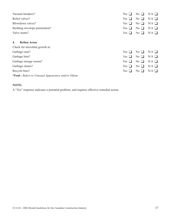| Vacuum breakers?                                          | Yes                             | N <sub>o</sub>           | $N/A$ $\square$ |
|-----------------------------------------------------------|---------------------------------|--------------------------|-----------------|
| Relief valves?                                            | Yes                             | N <sub>0</sub><br>$\Box$ | $N/A$ $\square$ |
| Blowdown valves?                                          | Yes                             | No $\Box$                | $N/A$ $\Box$    |
| Building envelope penetration?                            | Yes                             | $No$ $\Box$              | $N/A$ $\square$ |
| Valve stems?                                              | Yes                             | $No$ $\Box$              | $N/A$ $\square$ |
| <b>Refuse Areas</b><br>4.                                 |                                 |                          |                 |
| Check for microbial growth in:                            |                                 |                          |                 |
| Garbage cans?                                             | Yes                             | $\rm No \ \blacksquare$  | $N/A$ $\square$ |
| Garbage bins?                                             | Yes<br>$\overline{\phantom{0}}$ | $No$ $\Box$              | $N/A$ $\square$ |
| Garbage storage rooms?                                    | Yes                             | $No$ $\Box$              | $N/A$ $\square$ |
| Garbage chutes?                                           | Yes                             | No<br>$\blacksquare$     | $N/A$ $\square$ |
| Recycle bins?                                             |                                 | $No$ $\Box$              | $N/A$ $\square$ |
| * <b>Foul</b> : Refers to Unusual Appearance and/or Odour |                                 |                          |                 |

# **NOTE:**

A "Yes" response indicates a potential problem, and requires effective remedial action.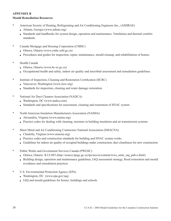# **APPENDIX B Mould Remediation Resources**

- \* American Society of Heating, Refrigerating and Air Conditioning Engineers Inc., (ASHRAE)
	- Atlanta, Georgia (www.ashrae.org)
	- Standards and handbooks for system design, operation and maintenance. Ventilation and thermal comfort standards.
- \* Canada Mortgage and Housing Corporation (CMHC)
	- Ottawa, Ontario (www.cmhc.schl.gc.ca)
	- <sup>l</sup> Procedures and guides for inspection, repair, maintenance, mould cleanup, and rehabilitation of homes.
- \* Health Canada
	- Ottawa, Ontario (www.hc-sc.gc.ca)
	- <sup>l</sup> Occupational health and safety, indoor air quality and microbial assessment and remediation guidelines.
- \* Institute of Inspection, Cleaning and Restoration Certification (IICRC)
	- $\bullet$  Vancouver, Washington (www.iicrc.org)
	- $\bullet$  Standards for inspection, cleaning and water damage restoration
- \* National Air Duct Cleaners Association (NADCA)
	- Washington, DC (www.nadca.com)
	- Standards and specifications for assessment, cleaning and restoration of HVAC system
- \* North American Insulation Manufacturers Association (NAIMA)
	- Alexandria, Virginia (www.naima.org)
	- Practice codes for dealing with cleaning, moisture in building insulation and air transmission systems
- \* Sheet Metal and Air Conditioning Contractors National Association (SMACNA)
	- $\bullet$  Chantilly, Virginia (www.smacna.org)
	- Practice codes and construction standards for building and HVAC system works
	- <sup>l</sup> Guidelines for indoor air quality of occupied buildings under construction, duct cleanliness for new construction
- \* Public Works and Government Services Canada (PWGSC)
	- Ottawa, Ontario K1A 0S5 (http://source.tpsgc.gc.ca/rps/aes/es/content/wwa\_units\_iaq\_pub-e.html)
	- Building design, operation and maintenance guidelines, IAQ assessment strategy, flood restoration and mould avoidance and remediation practices
- \* U.S. Environmental Protection Agency (EPA)
	- $\bullet$  Washington, DC (www.epa.gov/iaq)
	- IAQ and mould guidelines for homes, buildings and schools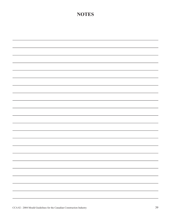# **NOTES**